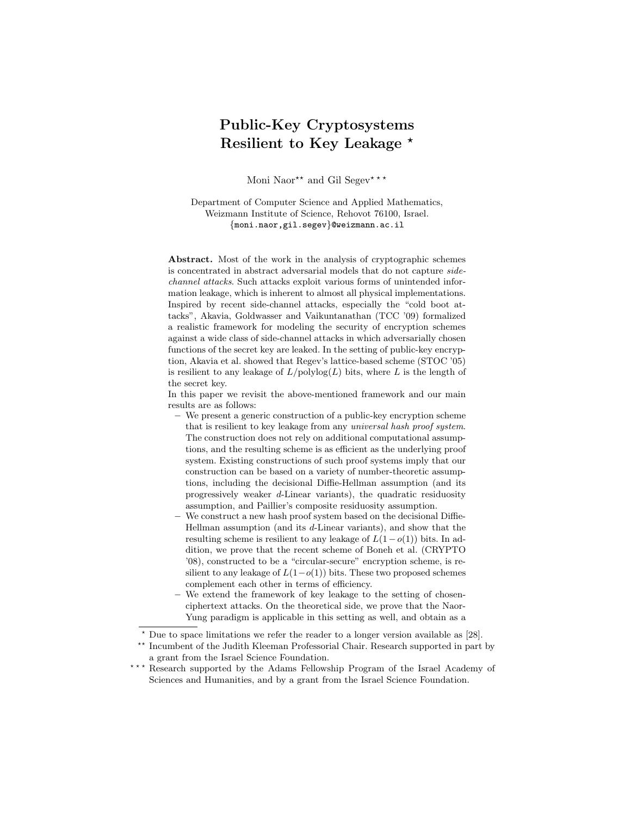# Public-Key Cryptosystems Resilient to Key Leakage \*

Moni Naor<sup>\*\*</sup> and Gil Segev<sup>\*\*\*</sup>

Department of Computer Science and Applied Mathematics, Weizmann Institute of Science, Rehovot 76100, Israel. {moni.naor,gil.segev}@weizmann.ac.il

Abstract. Most of the work in the analysis of cryptographic schemes is concentrated in abstract adversarial models that do not capture sidechannel attacks. Such attacks exploit various forms of unintended information leakage, which is inherent to almost all physical implementations. Inspired by recent side-channel attacks, especially the "cold boot attacks", Akavia, Goldwasser and Vaikuntanathan (TCC '09) formalized a realistic framework for modeling the security of encryption schemes against a wide class of side-channel attacks in which adversarially chosen functions of the secret key are leaked. In the setting of public-key encryption, Akavia et al. showed that Regev's lattice-based scheme (STOC '05) is resilient to any leakage of  $L/\text{polylog}(L)$  bits, where L is the length of the secret key.

In this paper we revisit the above-mentioned framework and our main results are as follows:

- We present a generic construction of a public-key encryption scheme that is resilient to key leakage from any universal hash proof system. The construction does not rely on additional computational assumptions, and the resulting scheme is as efficient as the underlying proof system. Existing constructions of such proof systems imply that our construction can be based on a variety of number-theoretic assumptions, including the decisional Diffie-Hellman assumption (and its progressively weaker d-Linear variants), the quadratic residuosity assumption, and Paillier's composite residuosity assumption.
- We construct a new hash proof system based on the decisional Diffie-Hellman assumption (and its d-Linear variants), and show that the resulting scheme is resilient to any leakage of  $L(1-o(1))$  bits. In addition, we prove that the recent scheme of Boneh et al. (CRYPTO '08), constructed to be a "circular-secure" encryption scheme, is resilient to any leakage of  $L(1-o(1))$  bits. These two proposed schemes complement each other in terms of efficiency.
- We extend the framework of key leakage to the setting of chosenciphertext attacks. On the theoretical side, we prove that the Naor-Yung paradigm is applicable in this setting as well, and obtain as a

? Due to space limitations we refer the reader to a longer version available as [28].

<sup>\*\*</sup> Incumbent of the Judith Kleeman Professorial Chair. Research supported in part by a grant from the Israel Science Foundation.

Research supported by the Adams Fellowship Program of the Israel Academy of Sciences and Humanities, and by a grant from the Israel Science Foundation.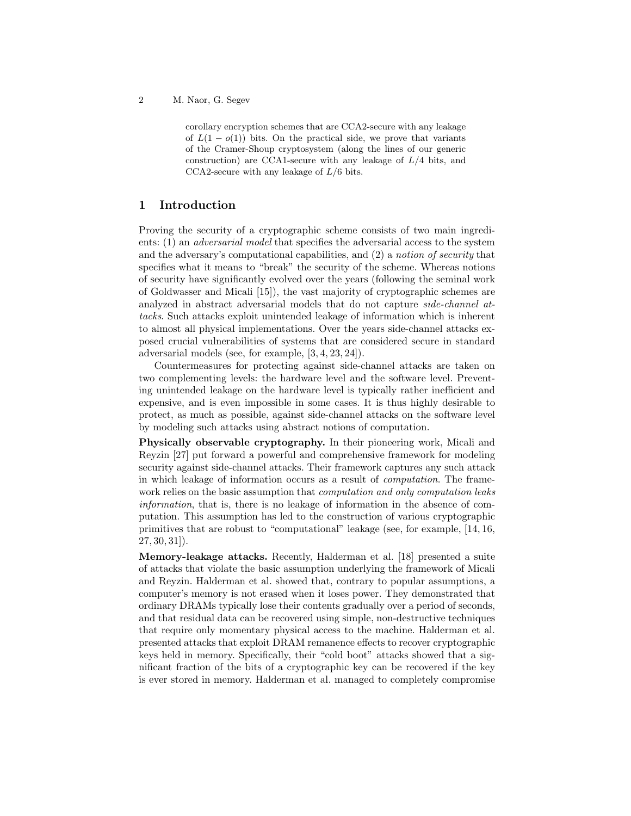corollary encryption schemes that are CCA2-secure with any leakage of  $L(1 - o(1))$  bits. On the practical side, we prove that variants of the Cramer-Shoup cryptosystem (along the lines of our generic construction) are CCA1-secure with any leakage of  $L/4$  bits, and CCA2-secure with any leakage of  $L/6$  bits.

# 1 Introduction

Proving the security of a cryptographic scheme consists of two main ingredients: (1) an adversarial model that specifies the adversarial access to the system and the adversary's computational capabilities, and (2) a notion of security that specifies what it means to "break" the security of the scheme. Whereas notions of security have significantly evolved over the years (following the seminal work of Goldwasser and Micali [15]), the vast majority of cryptographic schemes are analyzed in abstract adversarial models that do not capture side-channel attacks. Such attacks exploit unintended leakage of information which is inherent to almost all physical implementations. Over the years side-channel attacks exposed crucial vulnerabilities of systems that are considered secure in standard adversarial models (see, for example, [3, 4, 23, 24]).

Countermeasures for protecting against side-channel attacks are taken on two complementing levels: the hardware level and the software level. Preventing unintended leakage on the hardware level is typically rather inefficient and expensive, and is even impossible in some cases. It is thus highly desirable to protect, as much as possible, against side-channel attacks on the software level by modeling such attacks using abstract notions of computation.

Physically observable cryptography. In their pioneering work, Micali and Reyzin [27] put forward a powerful and comprehensive framework for modeling security against side-channel attacks. Their framework captures any such attack in which leakage of information occurs as a result of computation. The framework relies on the basic assumption that *computation and only computation leaks* information, that is, there is no leakage of information in the absence of computation. This assumption has led to the construction of various cryptographic primitives that are robust to "computational" leakage (see, for example, [14, 16,  $27, 30, 31$ .

Memory-leakage attacks. Recently, Halderman et al. [18] presented a suite of attacks that violate the basic assumption underlying the framework of Micali and Reyzin. Halderman et al. showed that, contrary to popular assumptions, a computer's memory is not erased when it loses power. They demonstrated that ordinary DRAMs typically lose their contents gradually over a period of seconds, and that residual data can be recovered using simple, non-destructive techniques that require only momentary physical access to the machine. Halderman et al. presented attacks that exploit DRAM remanence effects to recover cryptographic keys held in memory. Specifically, their "cold boot" attacks showed that a significant fraction of the bits of a cryptographic key can be recovered if the key is ever stored in memory. Halderman et al. managed to completely compromise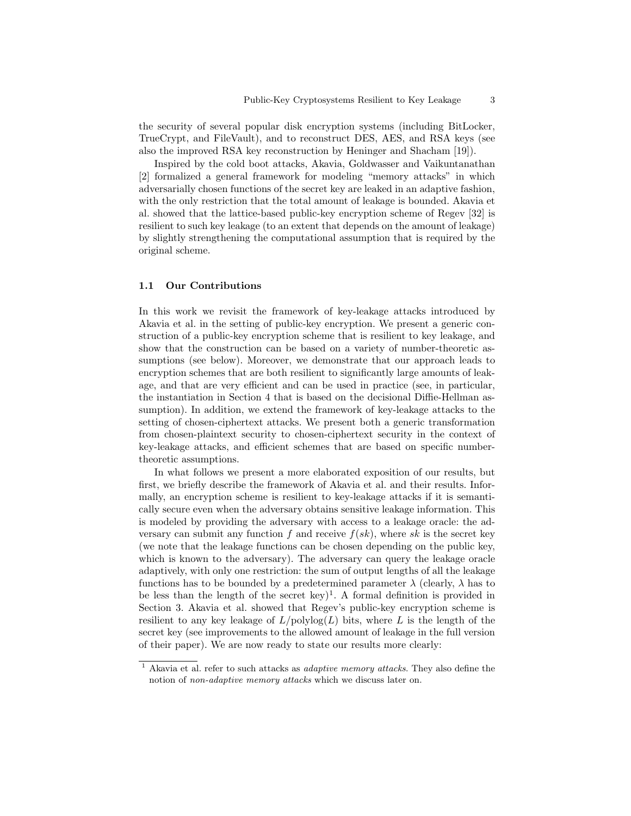the security of several popular disk encryption systems (including BitLocker, TrueCrypt, and FileVault), and to reconstruct DES, AES, and RSA keys (see also the improved RSA key reconstruction by Heninger and Shacham [19]).

Inspired by the cold boot attacks, Akavia, Goldwasser and Vaikuntanathan [2] formalized a general framework for modeling "memory attacks" in which adversarially chosen functions of the secret key are leaked in an adaptive fashion, with the only restriction that the total amount of leakage is bounded. Akavia et al. showed that the lattice-based public-key encryption scheme of Regev [32] is resilient to such key leakage (to an extent that depends on the amount of leakage) by slightly strengthening the computational assumption that is required by the original scheme.

#### 1.1 Our Contributions

In this work we revisit the framework of key-leakage attacks introduced by Akavia et al. in the setting of public-key encryption. We present a generic construction of a public-key encryption scheme that is resilient to key leakage, and show that the construction can be based on a variety of number-theoretic assumptions (see below). Moreover, we demonstrate that our approach leads to encryption schemes that are both resilient to significantly large amounts of leakage, and that are very efficient and can be used in practice (see, in particular, the instantiation in Section 4 that is based on the decisional Diffie-Hellman assumption). In addition, we extend the framework of key-leakage attacks to the setting of chosen-ciphertext attacks. We present both a generic transformation from chosen-plaintext security to chosen-ciphertext security in the context of key-leakage attacks, and efficient schemes that are based on specific numbertheoretic assumptions.

In what follows we present a more elaborated exposition of our results, but first, we briefly describe the framework of Akavia et al. and their results. Informally, an encryption scheme is resilient to key-leakage attacks if it is semantically secure even when the adversary obtains sensitive leakage information. This is modeled by providing the adversary with access to a leakage oracle: the adversary can submit any function f and receive  $f(sk)$ , where sk is the secret key (we note that the leakage functions can be chosen depending on the public key, which is known to the adversary). The adversary can query the leakage oracle adaptively, with only one restriction: the sum of output lengths of all the leakage functions has to be bounded by a predetermined parameter  $\lambda$  (clearly,  $\lambda$  has to be less than the length of the secret key $)^1$ . A formal definition is provided in Section 3. Akavia et al. showed that Regev's public-key encryption scheme is resilient to any key leakage of  $L/\text{polylog}(L)$  bits, where L is the length of the secret key (see improvements to the allowed amount of leakage in the full version of their paper). We are now ready to state our results more clearly:

 $1$  Akavia et al. refer to such attacks as *adaptive memory attacks*. They also define the notion of non-adaptive memory attacks which we discuss later on.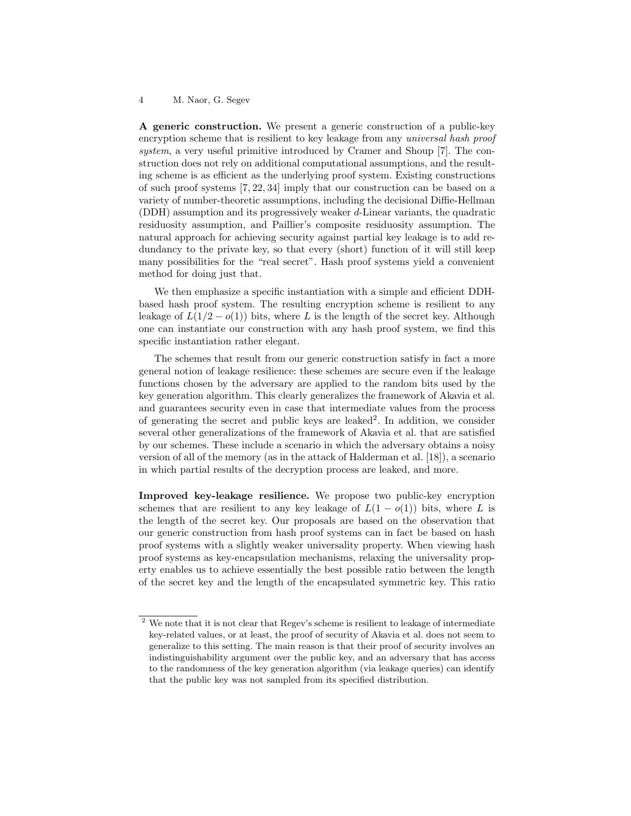A generic construction. We present a generic construction of a public-key encryption scheme that is resilient to key leakage from any universal hash proof system, a very useful primitive introduced by Cramer and Shoup [7]. The construction does not rely on additional computational assumptions, and the resulting scheme is as efficient as the underlying proof system. Existing constructions of such proof systems [7, 22, 34] imply that our construction can be based on a variety of number-theoretic assumptions, including the decisional Diffie-Hellman (DDH) assumption and its progressively weaker d-Linear variants, the quadratic residuosity assumption, and Paillier's composite residuosity assumption. The natural approach for achieving security against partial key leakage is to add redundancy to the private key, so that every (short) function of it will still keep many possibilities for the "real secret". Hash proof systems yield a convenient method for doing just that.

We then emphasize a specific instantiation with a simple and efficient DDHbased hash proof system. The resulting encryption scheme is resilient to any leakage of  $L(1/2 - o(1))$  bits, where L is the length of the secret key. Although one can instantiate our construction with any hash proof system, we find this specific instantiation rather elegant.

The schemes that result from our generic construction satisfy in fact a more general notion of leakage resilience: these schemes are secure even if the leakage functions chosen by the adversary are applied to the random bits used by the key generation algorithm. This clearly generalizes the framework of Akavia et al. and guarantees security even in case that intermediate values from the process of generating the secret and public keys are leaked<sup>2</sup>. In addition, we consider several other generalizations of the framework of Akavia et al. that are satisfied by our schemes. These include a scenario in which the adversary obtains a noisy version of all of the memory (as in the attack of Halderman et al. [18]), a scenario in which partial results of the decryption process are leaked, and more.

Improved key-leakage resilience. We propose two public-key encryption schemes that are resilient to any key leakage of  $L(1 - o(1))$  bits, where L is the length of the secret key. Our proposals are based on the observation that our generic construction from hash proof systems can in fact be based on hash proof systems with a slightly weaker universality property. When viewing hash proof systems as key-encapsulation mechanisms, relaxing the universality property enables us to achieve essentially the best possible ratio between the length of the secret key and the length of the encapsulated symmetric key. This ratio

<sup>&</sup>lt;sup>2</sup> We note that it is not clear that Regev's scheme is resilient to leakage of intermediate key-related values, or at least, the proof of security of Akavia et al. does not seem to generalize to this setting. The main reason is that their proof of security involves an indistinguishability argument over the public key, and an adversary that has access to the randomness of the key generation algorithm (via leakage queries) can identify that the public key was not sampled from its specified distribution.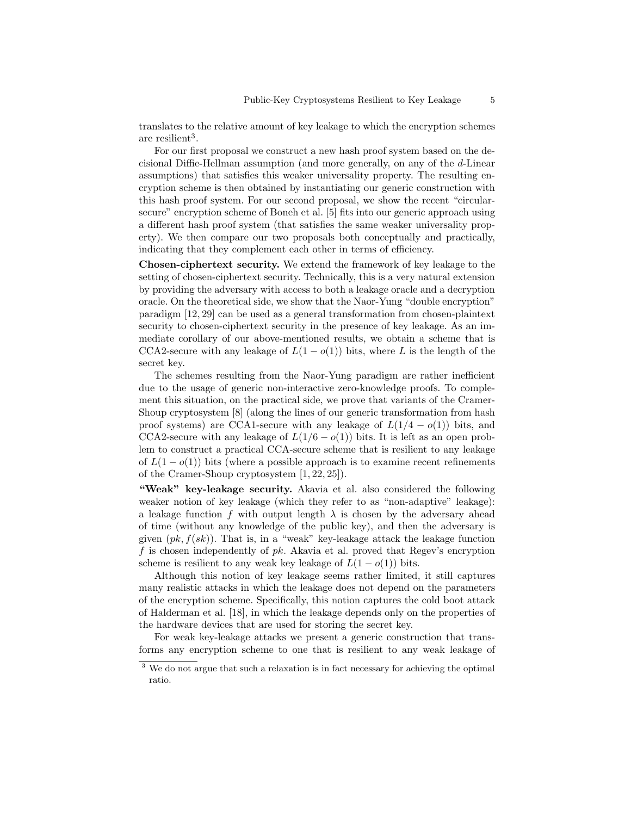translates to the relative amount of key leakage to which the encryption schemes are resilient<sup>3</sup>.

For our first proposal we construct a new hash proof system based on the decisional Diffie-Hellman assumption (and more generally, on any of the d-Linear assumptions) that satisfies this weaker universality property. The resulting encryption scheme is then obtained by instantiating our generic construction with this hash proof system. For our second proposal, we show the recent "circularsecure" encryption scheme of Boneh et al. [5] fits into our generic approach using a different hash proof system (that satisfies the same weaker universality property). We then compare our two proposals both conceptually and practically, indicating that they complement each other in terms of efficiency.

Chosen-ciphertext security. We extend the framework of key leakage to the setting of chosen-ciphertext security. Technically, this is a very natural extension by providing the adversary with access to both a leakage oracle and a decryption oracle. On the theoretical side, we show that the Naor-Yung "double encryption" paradigm [12, 29] can be used as a general transformation from chosen-plaintext security to chosen-ciphertext security in the presence of key leakage. As an immediate corollary of our above-mentioned results, we obtain a scheme that is CCA2-secure with any leakage of  $L(1-o(1))$  bits, where L is the length of the secret key.

The schemes resulting from the Naor-Yung paradigm are rather inefficient due to the usage of generic non-interactive zero-knowledge proofs. To complement this situation, on the practical side, we prove that variants of the Cramer-Shoup cryptosystem [8] (along the lines of our generic transformation from hash proof systems) are CCA1-secure with any leakage of  $L(1/4 - o(1))$  bits, and CCA2-secure with any leakage of  $L(1/6 - o(1))$  bits. It is left as an open problem to construct a practical CCA-secure scheme that is resilient to any leakage of  $L(1-o(1))$  bits (where a possible approach is to examine recent refinements of the Cramer-Shoup cryptosystem [1, 22, 25]).

"Weak" key-leakage security. Akavia et al. also considered the following weaker notion of key leakage (which they refer to as "non-adaptive" leakage): a leakage function f with output length  $\lambda$  is chosen by the adversary ahead of time (without any knowledge of the public key), and then the adversary is given  $(pk, f(sk)$ . That is, in a "weak" key-leakage attack the leakage function f is chosen independently of  $pk$ . Akavia et al. proved that Regev's encryption scheme is resilient to any weak key leakage of  $L(1-o(1))$  bits.

Although this notion of key leakage seems rather limited, it still captures many realistic attacks in which the leakage does not depend on the parameters of the encryption scheme. Specifically, this notion captures the cold boot attack of Halderman et al. [18], in which the leakage depends only on the properties of the hardware devices that are used for storing the secret key.

For weak key-leakage attacks we present a generic construction that transforms any encryption scheme to one that is resilient to any weak leakage of

<sup>&</sup>lt;sup>3</sup> We do not argue that such a relaxation is in fact necessary for achieving the optimal ratio.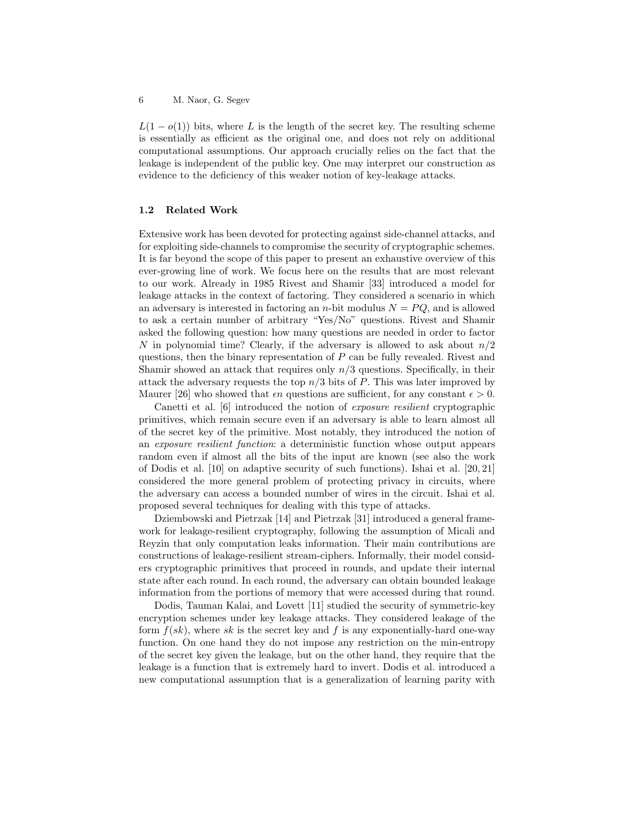$L(1-o(1))$  bits, where L is the length of the secret key. The resulting scheme is essentially as efficient as the original one, and does not rely on additional computational assumptions. Our approach crucially relies on the fact that the leakage is independent of the public key. One may interpret our construction as evidence to the deficiency of this weaker notion of key-leakage attacks.

## 1.2 Related Work

Extensive work has been devoted for protecting against side-channel attacks, and for exploiting side-channels to compromise the security of cryptographic schemes. It is far beyond the scope of this paper to present an exhaustive overview of this ever-growing line of work. We focus here on the results that are most relevant to our work. Already in 1985 Rivest and Shamir [33] introduced a model for leakage attacks in the context of factoring. They considered a scenario in which an adversary is interested in factoring an *n*-bit modulus  $N = PQ$ , and is allowed to ask a certain number of arbitrary "Yes/No" questions. Rivest and Shamir asked the following question: how many questions are needed in order to factor N in polynomial time? Clearly, if the adversary is allowed to ask about  $n/2$ questions, then the binary representation of  $P$  can be fully revealed. Rivest and Shamir showed an attack that requires only  $n/3$  questions. Specifically, in their attack the adversary requests the top  $n/3$  bits of P. This was later improved by Maurer [26] who showed that  $\epsilon n$  questions are sufficient, for any constant  $\epsilon > 0$ .

Canetti et al. [6] introduced the notion of exposure resilient cryptographic primitives, which remain secure even if an adversary is able to learn almost all of the secret key of the primitive. Most notably, they introduced the notion of an exposure resilient function: a deterministic function whose output appears random even if almost all the bits of the input are known (see also the work of Dodis et al. [10] on adaptive security of such functions). Ishai et al. [20, 21] considered the more general problem of protecting privacy in circuits, where the adversary can access a bounded number of wires in the circuit. Ishai et al. proposed several techniques for dealing with this type of attacks.

Dziembowski and Pietrzak [14] and Pietrzak [31] introduced a general framework for leakage-resilient cryptography, following the assumption of Micali and Reyzin that only computation leaks information. Their main contributions are constructions of leakage-resilient stream-ciphers. Informally, their model considers cryptographic primitives that proceed in rounds, and update their internal state after each round. In each round, the adversary can obtain bounded leakage information from the portions of memory that were accessed during that round.

Dodis, Tauman Kalai, and Lovett [11] studied the security of symmetric-key encryption schemes under key leakage attacks. They considered leakage of the form  $f(sk)$ , where sk is the secret key and f is any exponentially-hard one-way function. On one hand they do not impose any restriction on the min-entropy of the secret key given the leakage, but on the other hand, they require that the leakage is a function that is extremely hard to invert. Dodis et al. introduced a new computational assumption that is a generalization of learning parity with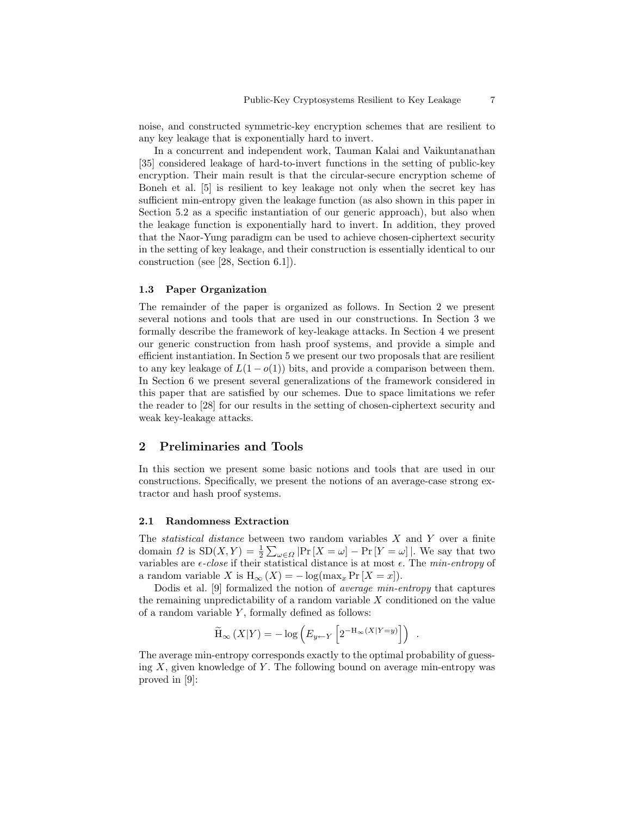noise, and constructed symmetric-key encryption schemes that are resilient to any key leakage that is exponentially hard to invert.

In a concurrent and independent work, Tauman Kalai and Vaikuntanathan [35] considered leakage of hard-to-invert functions in the setting of public-key encryption. Their main result is that the circular-secure encryption scheme of Boneh et al. [5] is resilient to key leakage not only when the secret key has sufficient min-entropy given the leakage function (as also shown in this paper in Section 5.2 as a specific instantiation of our generic approach), but also when the leakage function is exponentially hard to invert. In addition, they proved that the Naor-Yung paradigm can be used to achieve chosen-ciphertext security in the setting of key leakage, and their construction is essentially identical to our construction (see [28, Section 6.1]).

## 1.3 Paper Organization

The remainder of the paper is organized as follows. In Section 2 we present several notions and tools that are used in our constructions. In Section 3 we formally describe the framework of key-leakage attacks. In Section 4 we present our generic construction from hash proof systems, and provide a simple and efficient instantiation. In Section 5 we present our two proposals that are resilient to any key leakage of  $L(1 - o(1))$  bits, and provide a comparison between them. In Section 6 we present several generalizations of the framework considered in this paper that are satisfied by our schemes. Due to space limitations we refer the reader to [28] for our results in the setting of chosen-ciphertext security and weak key-leakage attacks.

## 2 Preliminaries and Tools

In this section we present some basic notions and tools that are used in our constructions. Specifically, we present the notions of an average-case strong extractor and hash proof systems.

#### 2.1 Randomness Extraction

The *statistical distance* between two random variables X and Y over a finite domain  $\Omega$  is  $SD(X, Y) = \frac{1}{2} \sum_{\omega \in \Omega} |Pr[X = \omega] - Pr[Y = \omega]|$ . We say that two variables are  $\epsilon$ -close if their statistical distance is at most  $\epsilon$ . The min-entropy of a random variable X is  $H_{\infty}(X) = -\log(\max_{x} \Pr(X = x)).$ 

Dodis et al. [9] formalized the notion of average min-entropy that captures the remaining unpredictability of a random variable  $X$  conditioned on the value of a random variable  $Y$ , formally defined as follows:

$$
\widetilde{H}_{\infty}(X|Y) = -\log\left(E_{y \leftarrow Y}\left[2^{-H_{\infty}(X|Y=y)}\right]\right) .
$$

The average min-entropy corresponds exactly to the optimal probability of guessing  $X$ , given knowledge of  $Y$ . The following bound on average min-entropy was proved in [9]: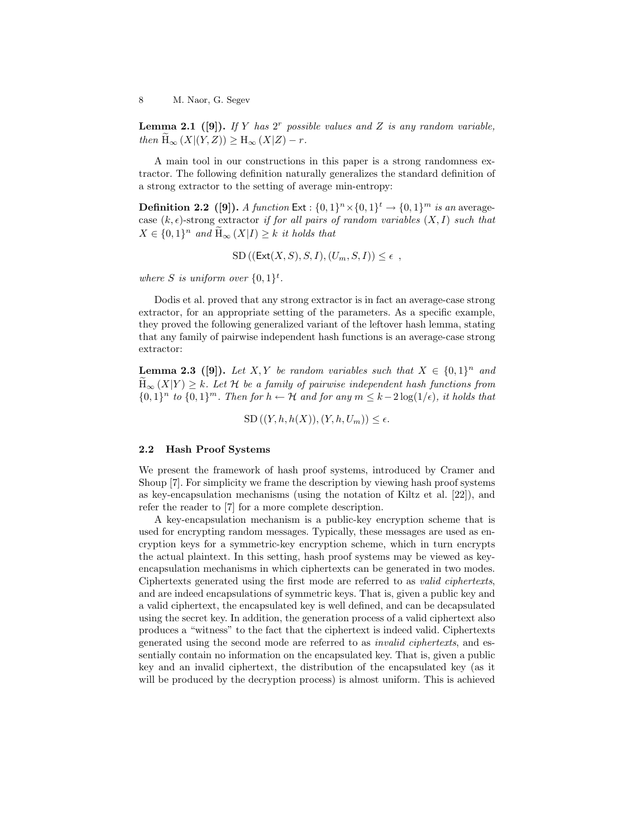**Lemma 2.1** ([9]). If Y has  $2^r$  possible values and Z is any random variable, then  $H_{\infty}(X|(Y,Z)) \geq H_{\infty}(X|Z) - r$ .

A main tool in our constructions in this paper is a strong randomness extractor. The following definition naturally generalizes the standard definition of a strong extractor to the setting of average min-entropy:

**Definition 2.2** ([9]). A function  $Ext : \{0,1\}^n \times \{0,1\}^t \rightarrow \{0,1\}^m$  is an averagecase  $(k, \epsilon)$ -strong extractor if for all pairs of random variables  $(X, I)$  such that  $X \in \{0,1\}^n$  and  $\widetilde{H}_{\infty}(X|I) \geq k$  it holds that

$$
SD((Ext(X, S), S, I), (U_m, S, I)) \le \epsilon ,
$$

where S is uniform over  $\{0,1\}^t$ .

Dodis et al. proved that any strong extractor is in fact an average-case strong extractor, for an appropriate setting of the parameters. As a specific example, they proved the following generalized variant of the leftover hash lemma, stating that any family of pairwise independent hash functions is an average-case strong extractor:

**Lemma 2.3** ([9]). Let X, Y be random variables such that  $X \in \{0,1\}^n$  and  $H_{\infty}(X|Y) \geq k$ . Let H be a family of pairwise independent hash functions from  ${0,1}^n$  to  ${0,1}^m$ . Then for  $h \leftarrow \mathcal{H}$  and for any  $m \leq k - 2\log(1/\epsilon)$ , it holds that

$$
SD((Y, h, h(X)), (Y, h, U_m)) \le \epsilon.
$$

#### 2.2 Hash Proof Systems

We present the framework of hash proof systems, introduced by Cramer and Shoup [7]. For simplicity we frame the description by viewing hash proof systems as key-encapsulation mechanisms (using the notation of Kiltz et al. [22]), and refer the reader to [7] for a more complete description.

A key-encapsulation mechanism is a public-key encryption scheme that is used for encrypting random messages. Typically, these messages are used as encryption keys for a symmetric-key encryption scheme, which in turn encrypts the actual plaintext. In this setting, hash proof systems may be viewed as keyencapsulation mechanisms in which ciphertexts can be generated in two modes. Ciphertexts generated using the first mode are referred to as valid ciphertexts, and are indeed encapsulations of symmetric keys. That is, given a public key and a valid ciphertext, the encapsulated key is well defined, and can be decapsulated using the secret key. In addition, the generation process of a valid ciphertext also produces a "witness" to the fact that the ciphertext is indeed valid. Ciphertexts generated using the second mode are referred to as invalid ciphertexts, and essentially contain no information on the encapsulated key. That is, given a public key and an invalid ciphertext, the distribution of the encapsulated key (as it will be produced by the decryption process) is almost uniform. This is achieved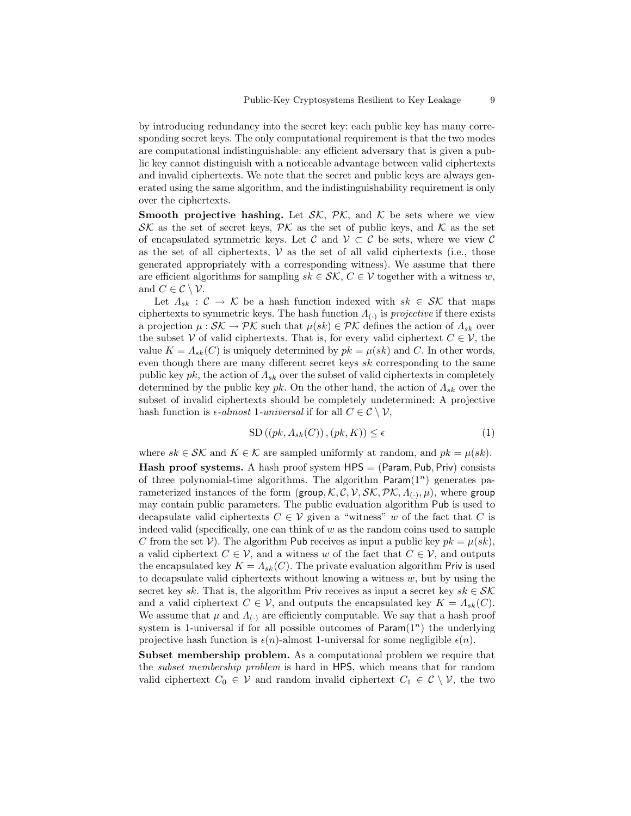by introducing redundancy into the secret key: each public key has many corresponding secret keys. The only computational requirement is that the two modes are computational indistinguishable: any efficient adversary that is given a public key cannot distinguish with a noticeable advantage between valid ciphertexts and invalid ciphertexts. We note that the secret and public keys are always generated using the same algorithm, and the indistinguishability requirement is only over the ciphertexts.

**Smooth projective hashing.** Let  $\mathcal{SK}, \mathcal{PK},$  and  $\mathcal{K}$  be sets where we view SK as the set of secret keys,  $\mathcal{PK}$  as the set of public keys, and K as the set of encapsulated symmetric keys. Let C and  $\mathcal{V} \subset \mathcal{C}$  be sets, where we view C as the set of all ciphertexts,  $\mathcal V$  as the set of all valid ciphertexts (i.e., those generated appropriately with a corresponding witness). We assume that there are efficient algorithms for sampling  $sk \in \mathcal{SK}, C \in \mathcal{V}$  together with a witness w, and  $C \in \mathcal{C} \setminus \mathcal{V}$ .

Let  $\Lambda_{sk} : \mathcal{C} \to \mathcal{K}$  be a hash function indexed with  $sk \in \mathcal{SK}$  that maps ciphertexts to symmetric keys. The hash function  $\Lambda_{(\cdot)}$  is *projective* if there exists a projection  $\mu : \mathcal{SK} \to \mathcal{PK}$  such that  $\mu(sk) \in \mathcal{PK}$  defines the action of  $\Lambda_{sk}$  over the subset V of valid ciphertexts. That is, for every valid ciphertext  $C \in V$ , the value  $K = \Lambda_{sk}(C)$  is uniquely determined by  $pk = \mu(sk)$  and C. In other words, even though there are many different secret keys sk corresponding to the same public key pk, the action of  $\Lambda_{sk}$  over the subset of valid ciphertexts in completely determined by the public key pk. On the other hand, the action of  $\Lambda_{sk}$  over the subset of invalid ciphertexts should be completely undetermined: A projective hash function is  $\epsilon$ -almost 1-universal if for all  $C \in \mathcal{C} \setminus \mathcal{V}$ ,

$$
SD((pk, A_{sk}(C)), (pk, K)) \le \epsilon
$$
\n<sup>(1)</sup>

where  $sk \in \mathcal{SK}$  and  $K \in \mathcal{K}$  are sampled uniformly at random, and  $pk = \mu(sk)$ .

**Hash proof systems.** A hash proof system  $HPS = (Param, Pub, Priv)$  consists of three polynomial-time algorithms. The algorithm  $Param(1^n)$  generates parameterized instances of the form (group, K, C, V, SK, PK,  $A_{(.)}, \mu$ ), where group may contain public parameters. The public evaluation algorithm Pub is used to decapsulate valid ciphertexts  $C \in V$  given a "witness" w of the fact that C is indeed valid (specifically, one can think of  $w$  as the random coins used to sample C from the set V). The algorithm Pub receives as input a public key  $pk = \mu(sk)$ , a valid ciphertext  $C \in \mathcal{V}$ , and a witness w of the fact that  $C \in \mathcal{V}$ , and outputs the encapsulated key  $K = \Lambda_{sk}(C)$ . The private evaluation algorithm Priv is used to decapsulate valid ciphertexts without knowing a witness  $w$ , but by using the secret key sk. That is, the algorithm Priv receives as input a secret key sk  $\in \mathcal{SK}$ and a valid ciphertext  $C \in \mathcal{V}$ , and outputs the encapsulated key  $K = \Lambda_{sk}(C)$ . We assume that  $\mu$  and  $\Lambda_{\langle \cdot \rangle}$  are efficiently computable. We say that a hash proof system is 1-universal if for all possible outcomes of  $Param(1^n)$  the underlying projective hash function is  $\epsilon(n)$ -almost 1-universal for some negligible  $\epsilon(n)$ .

Subset membership problem. As a computational problem we require that the subset membership problem is hard in HPS, which means that for random valid ciphertext  $C_0 \in V$  and random invalid ciphertext  $C_1 \in \mathcal{C} \setminus V$ , the two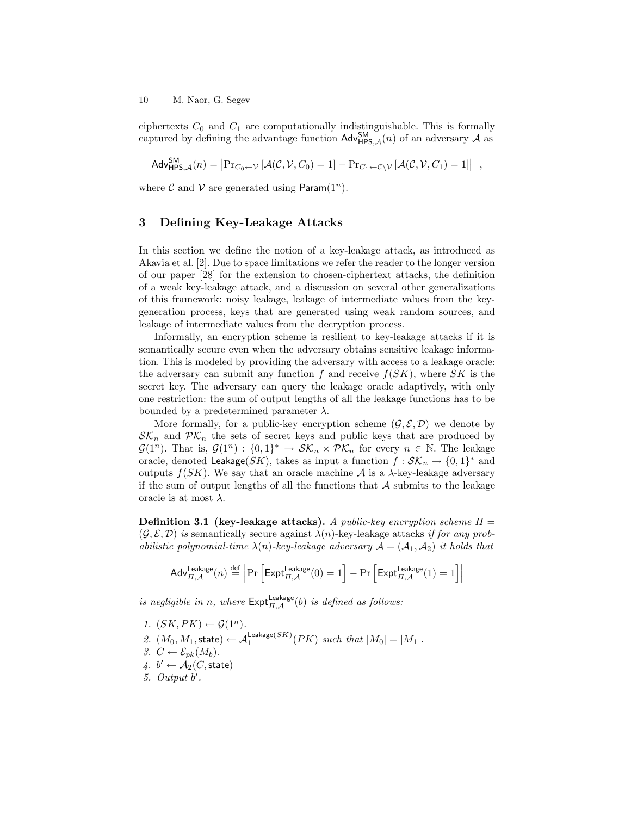ciphertexts  $C_0$  and  $C_1$  are computationally indistinguishable. This is formally captured by defining the advantage function  $\mathsf{Adv}_{\mathsf{HPS},\mathcal{A}}^{\mathsf{SM}}(n)$  of an adversary  $\mathcal A$  as

$$
\mathsf{Adv}_{\mathsf{HPS},\mathcal{A}}^{\mathsf{SM}}(n) = \left| \mathrm{Pr}_{C_0 \leftarrow \mathcal{V}} \left[ \mathcal{A}(\mathcal{C}, \mathcal{V}, C_0) = 1 \right] - \mathrm{Pr}_{C_1 \leftarrow \mathcal{C} \setminus \mathcal{V}} \left[ \mathcal{A}(\mathcal{C}, \mathcal{V}, C_1) = 1 \right] \right| ,
$$

where C and V are generated using Param $(1^n)$ .

## 3 Defining Key-Leakage Attacks

In this section we define the notion of a key-leakage attack, as introduced as Akavia et al. [2]. Due to space limitations we refer the reader to the longer version of our paper [28] for the extension to chosen-ciphertext attacks, the definition of a weak key-leakage attack, and a discussion on several other generalizations of this framework: noisy leakage, leakage of intermediate values from the keygeneration process, keys that are generated using weak random sources, and leakage of intermediate values from the decryption process.

Informally, an encryption scheme is resilient to key-leakage attacks if it is semantically secure even when the adversary obtains sensitive leakage information. This is modeled by providing the adversary with access to a leakage oracle: the adversary can submit any function f and receive  $f(SK)$ , where SK is the secret key. The adversary can query the leakage oracle adaptively, with only one restriction: the sum of output lengths of all the leakage functions has to be bounded by a predetermined parameter  $\lambda$ .

More formally, for a public-key encryption scheme  $(\mathcal{G}, \mathcal{E}, \mathcal{D})$  we denote by  $\mathcal{SK}_n$  and  $\mathcal{PK}_n$  the sets of secret keys and public keys that are produced by  $\mathcal{G}(1^n)$ . That is,  $\mathcal{G}(1^n) : \{0,1\}^* \to \mathcal{SK}_n \times \mathcal{PK}_n$  for every  $n \in \mathbb{N}$ . The leakage oracle, denoted Leakage(SK), takes as input a function  $f : \mathcal{SK}_n \to \{0,1\}^*$  and outputs  $f(SK)$ . We say that an oracle machine A is a  $\lambda$ -key-leakage adversary if the sum of output lengths of all the functions that  $A$  submits to the leakage oracle is at most  $\lambda$ .

Definition 3.1 (key-leakage attacks). A public-key encryption scheme  $\Pi =$  $(\mathcal{G}, \mathcal{E}, \mathcal{D})$  is semantically secure against  $\lambda(n)$ -key-leakage attacks if for any probabilistic polynomial-time  $\lambda(n)$ -key-leakage adversary  $\mathcal{A} = (\mathcal{A}_1, \mathcal{A}_2)$  it holds that

$$
\mathsf{Adv}_{\varPi,\mathcal{A}}^{\mathsf{Leakage}}(n) \stackrel{\mathsf{def}}{=} \Big|\mathsf{Pr}\left[\mathsf{Expt}_{\varPi,\mathcal{A}}^{\mathsf{Leakage}}(0) = 1\right] - \mathsf{Pr}\left[\mathsf{Expt}_{\varPi,\mathcal{A}}^{\mathsf{Leakage}}(1) = 1\right]\Big|
$$

is negligible in n, where  $\mathsf{Expt}^{\mathsf{Leakage}}_{\Pi,\mathcal{A}}(b)$  is defined as follows:

1.  $(SK, PK) \leftarrow \mathcal{G}(1^n)$ . 2.  $(M_0, M_1, \text{state}) \leftarrow \mathcal{A}_1^{\text{Leakage}(SK)}(PK) \text{ such that } |M_0| = |M_1|.$ 3.  $C \leftarrow \mathcal{E}_{pk}(M_b)$ . 4.  $b' \leftarrow A_2(C, \text{state})$ 5. Output  $b'$ .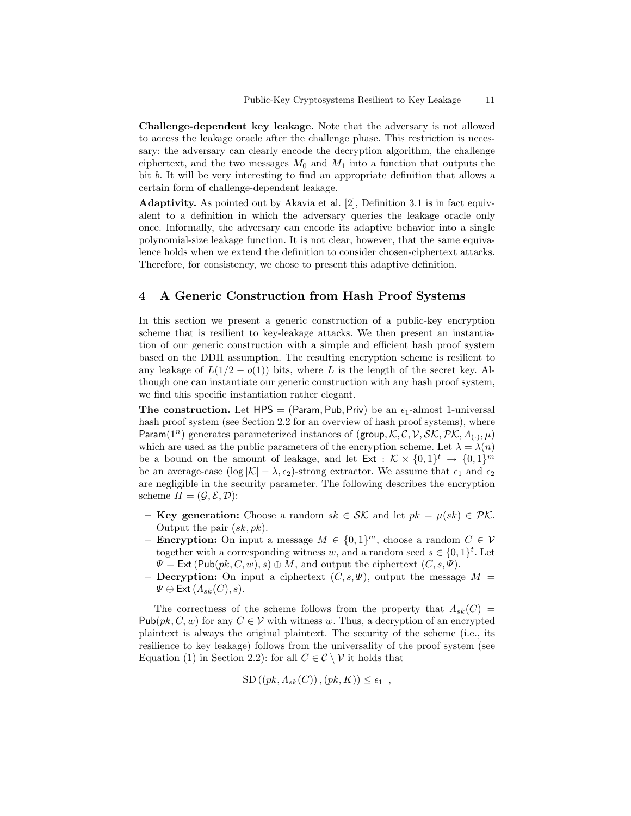Challenge-dependent key leakage. Note that the adversary is not allowed to access the leakage oracle after the challenge phase. This restriction is necessary: the adversary can clearly encode the decryption algorithm, the challenge ciphertext, and the two messages  $M_0$  and  $M_1$  into a function that outputs the bit b. It will be very interesting to find an appropriate definition that allows a certain form of challenge-dependent leakage.

Adaptivity. As pointed out by Akavia et al. [2], Definition 3.1 is in fact equivalent to a definition in which the adversary queries the leakage oracle only once. Informally, the adversary can encode its adaptive behavior into a single polynomial-size leakage function. It is not clear, however, that the same equivalence holds when we extend the definition to consider chosen-ciphertext attacks. Therefore, for consistency, we chose to present this adaptive definition.

# 4 A Generic Construction from Hash Proof Systems

In this section we present a generic construction of a public-key encryption scheme that is resilient to key-leakage attacks. We then present an instantiation of our generic construction with a simple and efficient hash proof system based on the DDH assumption. The resulting encryption scheme is resilient to any leakage of  $L(1/2 - o(1))$  bits, where L is the length of the secret key. Although one can instantiate our generic construction with any hash proof system, we find this specific instantiation rather elegant.

The construction. Let HPS = (Param, Pub, Priv) be an  $\epsilon_1$ -almost 1-universal hash proof system (see Section 2.2 for an overview of hash proof systems), where Param(1<sup>n</sup>) generates parameterized instances of (group, K, C, V, SK, PK,  $\Lambda_{(.)}, \mu$ ) which are used as the public parameters of the encryption scheme. Let  $\lambda = \lambda(n)$ be a bound on the amount of leakage, and let  $\text{Ext}: \mathcal{K} \times \{0,1\}^t \to \{0,1\}^m$ be an average-case (log  $|\mathcal{K}| - \lambda$ ,  $\epsilon_2$ )-strong extractor. We assume that  $\epsilon_1$  and  $\epsilon_2$ are negligible in the security parameter. The following describes the encryption scheme  $\Pi = (\mathcal{G}, \mathcal{E}, \mathcal{D})$ :

- Key generation: Choose a random  $sk \in \mathcal{SK}$  and let  $pk = \mu(sk) \in \mathcal{PK}$ . Output the pair  $(sk, pk)$ .
- **Encryption:** On input a message  $M \in \{0,1\}^m$ , choose a random  $C \in \mathcal{V}$ together with a corresponding witness w, and a random seed  $s \in \{0,1\}^t$ . Let  $\Psi = \text{Ext}(\text{Pub}(pk, C, w), s) \oplus M$ , and output the ciphertext  $(C, s, \Psi)$ .
- Decryption: On input a ciphertext  $(C, s, \Psi)$ , output the message  $M =$  $\Psi \oplus \mathsf{Ext}\,(A_{sk}(C), s).$

The correctness of the scheme follows from the property that  $\Lambda_{sk}(C)$  = Pub( $pk$ ,  $C$ ,  $w$ ) for any  $C \in V$  with witness w. Thus, a decryption of an encrypted plaintext is always the original plaintext. The security of the scheme (i.e., its resilience to key leakage) follows from the universality of the proof system (see Equation (1) in Section 2.2): for all  $C \in \mathcal{C} \setminus \mathcal{V}$  it holds that

$$
SD((pk, A_{sk}(C)), (pk, K)) \le \epsilon_1 ,
$$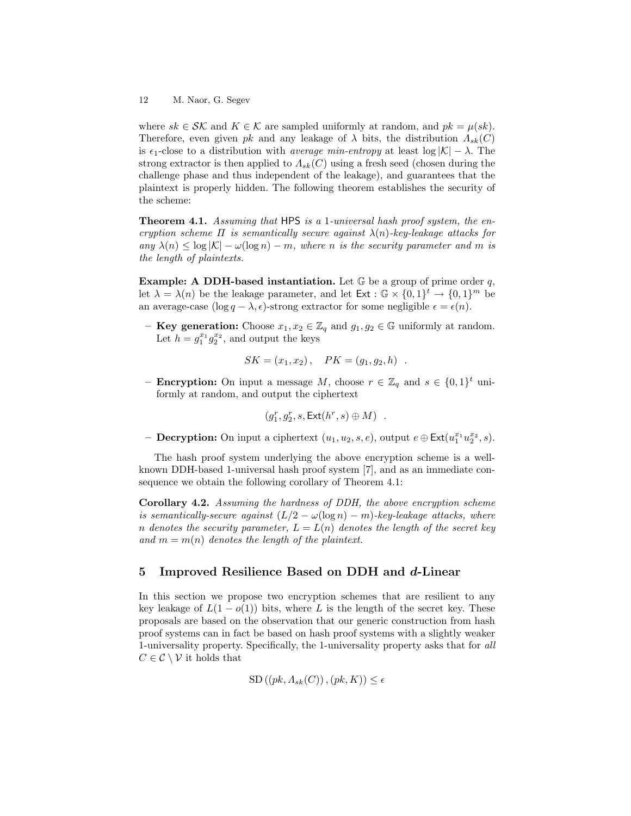where  $sk \in \mathcal{SK}$  and  $K \in \mathcal{K}$  are sampled uniformly at random, and  $pk = \mu(sk)$ . Therefore, even given pk and any leakage of  $\lambda$  bits, the distribution  $\Lambda_{sk}(C)$ is  $\epsilon_1$ -close to a distribution with *average min-entropy* at least  $\log |\mathcal{K}| - \lambda$ . The strong extractor is then applied to  $\Lambda_{sk}(C)$  using a fresh seed (chosen during the challenge phase and thus independent of the leakage), and guarantees that the plaintext is properly hidden. The following theorem establishes the security of the scheme:

Theorem 4.1. Assuming that HPS is a 1-universal hash proof system, the encryption scheme  $\Pi$  is semantically secure against  $\lambda(n)$ -key-leakage attacks for any  $\lambda(n) \leq \log |\mathcal{K}| - \omega(\log n) - m$ , where n is the security parameter and m is the length of plaintexts.

**Example:** A DDH-based instantiation. Let  $\mathbb{G}$  be a group of prime order q, let  $\lambda = \lambda(n)$  be the leakage parameter, and let  $Ext : \mathbb{G} \times \{0,1\}^t \to \{0,1\}^m$  be an average-case (log  $q - \lambda$ ,  $\epsilon$ )-strong extractor for some negligible  $\epsilon = \epsilon(n)$ .

– Key generation: Choose  $x_1, x_2 \in \mathbb{Z}_q$  and  $g_1, g_2 \in \mathbb{G}$  uniformly at random. Let  $h = g_1^{x_1} g_2^{x_2}$ , and output the keys

$$
SK = (x_1, x_2), \quad PK = (g_1, g_2, h) \quad .
$$

- **Encryption:** On input a message M, choose  $r \in \mathbb{Z}_q$  and  $s \in \{0,1\}^t$  uniformly at random, and output the ciphertext

$$
(g_1^r, g_2^r, s, \mathsf{Ext}(h^r, s) \oplus M) \quad .
$$

- **Decryption:** On input a ciphertext  $(u_1, u_2, s, e)$ , output  $e \oplus \text{Ext}(u_1^{x_1} u_2^{x_2}, s)$ .

The hash proof system underlying the above encryption scheme is a wellknown DDH-based 1-universal hash proof system [7], and as an immediate consequence we obtain the following corollary of Theorem 4.1:

Corollary 4.2. Assuming the hardness of DDH, the above encryption scheme is semantically-secure against  $(L/2 - \omega(\log n) - m)$ -key-leakage attacks, where n denotes the security parameter,  $L = L(n)$  denotes the length of the secret key and  $m = m(n)$  denotes the length of the plaintext.

# 5 Improved Resilience Based on DDH and d-Linear

In this section we propose two encryption schemes that are resilient to any key leakage of  $L(1-o(1))$  bits, where L is the length of the secret key. These proposals are based on the observation that our generic construction from hash proof systems can in fact be based on hash proof systems with a slightly weaker 1-universality property. Specifically, the 1-universality property asks that for all  $C \in \mathcal{C} \setminus \mathcal{V}$  it holds that

$$
SD((pk, A_{sk}(C)), (pk, K)) \le \epsilon
$$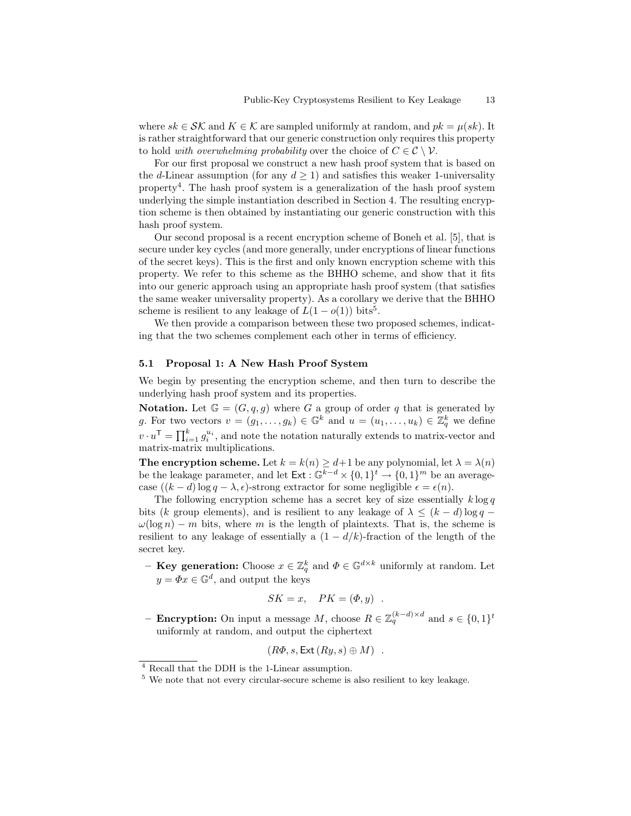where  $sk \in \mathcal{SK}$  and  $K \in \mathcal{K}$  are sampled uniformly at random, and  $pk = \mu(sk)$ . It is rather straightforward that our generic construction only requires this property to hold with overwhelming probability over the choice of  $C \in \mathcal{C} \setminus \mathcal{V}$ .

For our first proposal we construct a new hash proof system that is based on the d-Linear assumption (for any  $d \geq 1$ ) and satisfies this weaker 1-universality property<sup>4</sup> . The hash proof system is a generalization of the hash proof system underlying the simple instantiation described in Section 4. The resulting encryption scheme is then obtained by instantiating our generic construction with this hash proof system.

Our second proposal is a recent encryption scheme of Boneh et al. [5], that is secure under key cycles (and more generally, under encryptions of linear functions of the secret keys). This is the first and only known encryption scheme with this property. We refer to this scheme as the BHHO scheme, and show that it fits into our generic approach using an appropriate hash proof system (that satisfies the same weaker universality property). As a corollary we derive that the BHHO scheme is resilient to any leakage of  $L(1-o(1))$  bits<sup>5</sup>.

We then provide a comparison between these two proposed schemes, indicating that the two schemes complement each other in terms of efficiency.

#### 5.1 Proposal 1: A New Hash Proof System

We begin by presenting the encryption scheme, and then turn to describe the underlying hash proof system and its properties.

**Notation.** Let  $\mathbb{G} = (G, q, g)$  where G a group of order q that is generated by g. For two vectors  $v = (g_1, \ldots, g_k) \in \mathbb{G}^k$  and  $u = (u_1, \ldots, u_k) \in \mathbb{Z}_q^k$  we define  $v \cdot u^{\mathsf{T}} = \prod_{i=1}^k g_i^{u_i}$ , and note the notation naturally extends to matrix-vector and matrix-matrix multiplications.

The encryption scheme. Let  $k = k(n) \geq d+1$  be any polynomial, let  $\lambda = \lambda(n)$ be the leakage parameter, and let  $\text{Ext} : \mathbb{G}^{k-d} \times \{0,1\}^t \to \{0,1\}^m$  be an averagecase  $((k - d) \log q - \lambda, \epsilon)$ -strong extractor for some negligible  $\epsilon = \epsilon(n)$ .

The following encryption scheme has a secret key of size essentially  $k \log q$ bits (k group elements), and is resilient to any leakage of  $\lambda \leq (k - d) \log q$  $\omega(\log n) - m$  bits, where m is the length of plaintexts. That is, the scheme is resilient to any leakage of essentially a  $(1 - d/k)$ -fraction of the length of the secret key.

- Key generation: Choose  $x \in \mathbb{Z}_q^k$  and  $\Phi \in \mathbb{G}^{d \times k}$  uniformly at random. Let  $y = \Phi x \in \mathbb{G}^d$ , and output the keys

$$
SK = x, \quad PK = (\Phi, y) \quad .
$$

- **Encryption:** On input a message M, choose  $R \in \mathbb{Z}_q^{(k-d)\times d}$  and  $s \in \{0,1\}^t$ uniformly at random, and output the ciphertext

$$
(R\Phi, s, \mathsf{Ext}(Ry,s) \oplus M) \quad .
$$

<sup>4</sup> Recall that the DDH is the 1-Linear assumption.

<sup>5</sup> We note that not every circular-secure scheme is also resilient to key leakage.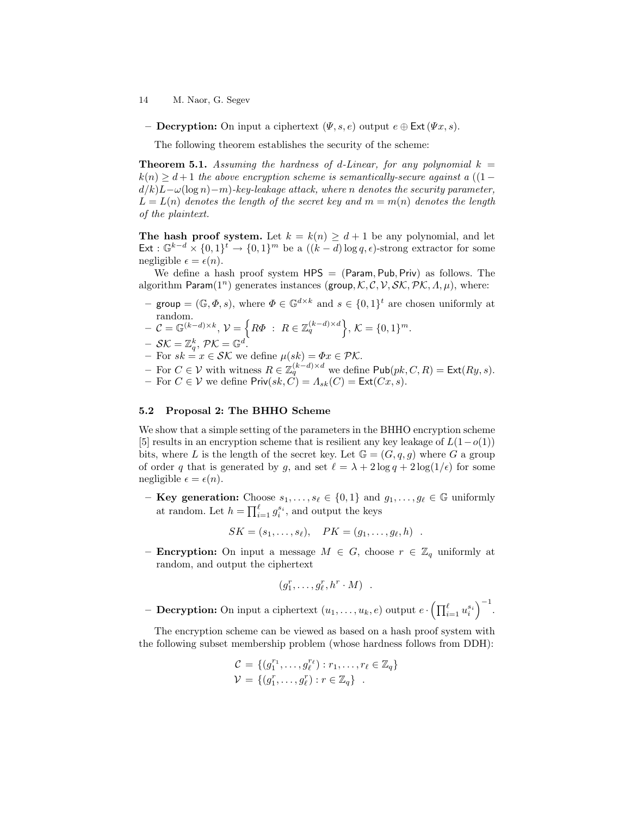– **Decryption:** On input a ciphertext  $(\Psi, s, e)$  output  $e \oplus \text{Ext}(\Psi x, s)$ .

The following theorem establishes the security of the scheme:

**Theorem 5.1.** Assuming the hardness of d-Linear, for any polynomial  $k =$  $k(n) \geq d+1$  the above encryption scheme is semantically-secure against a  $((1$  $d/k$ )L $-\omega$ (log n) $-m$ )-key-leakage attack, where n denotes the security parameter.  $L = L(n)$  denotes the length of the secret key and  $m = m(n)$  denotes the length of the plaintext.

The hash proof system. Let  $k = k(n) \geq d+1$  be any polynomial, and let  $\text{Ext}: \mathbb{G}^{k-d} \times \{0,1\}^t \to \{0,1\}^m$  be a  $((k-d) \log q, \epsilon)$ -strong extractor for some negligible  $\epsilon = \epsilon(n)$ .

We define a hash proof system  $HPS = (Param, Pub, Priv)$  as follows. The algorithm Param(1<sup>n</sup>) generates instances (group, K, C, V, SK, PK,  $\Lambda$ ,  $\mu$ ), where:

- group =  $(\mathbb{G}, \Phi, s)$ , where  $\Phi \in \mathbb{G}^{d \times k}$  and  $s \in \{0, 1\}^t$  are chosen uniformly at random. n o
- $\mathcal{C} = \mathbb{G}^{(k-d) \times k}, \, \mathcal{V} =$  $R\Phi$  :  $R \in \mathbb{Z}_q^{(k-d)\times d}$  $, K = \{0, 1\}^m.$
- $\mathcal{SK} = \mathbb{Z}_q^k, \, \mathcal{PK} = \mathbb{G}^d.$
- For  $sk = x \in \mathcal{SK}$  we define  $\mu(sk) = \Phi x \in \mathcal{PK}$ .
- $-$  For  $C \in \mathcal{V}$  with witness  $R \in \mathbb{Z}_q^{(k-d)\times d}$  we define Pub $(pk, C, R) = \text{Ext}(Ry, s)$ . – For  $C \in \mathcal{V}$  we define Priv $(sk, C) = \Lambda_{sk}(C) = \text{Ext}(Cx, s)$ .

#### 5.2 Proposal 2: The BHHO Scheme

We show that a simple setting of the parameters in the BHHO encryption scheme [5] results in an encryption scheme that is resilient any key leakage of  $L(1-o(1))$ bits, where L is the length of the secret key. Let  $\mathbb{G} = (G, q, q)$  where G a group of order q that is generated by q, and set  $\ell = \lambda + 2 \log q + 2 \log(1/\epsilon)$  for some negligible  $\epsilon = \epsilon(n)$ .

– **Key generation:** Choose  $s_1, \ldots, s_\ell \in \{0, 1\}$  and  $g_1, \ldots, g_\ell \in \mathbb{G}$  uniformly at random. Let  $h = \prod_{i=1}^{\ell} g_i^{s_i}$ , and output the keys

$$
SK = (s_1, \ldots, s_\ell), \quad PK = (g_1, \ldots, g_\ell, h) \quad .
$$

– **Encryption:** On input a message  $M \in G$ , choose  $r \in \mathbb{Z}_q$  uniformly at random, and output the ciphertext

$$
(g_1^r, \ldots, g_\ell^r, h^r \cdot M) \quad .
$$

- **Decryption:** On input a ciphertext  $(u_1, \ldots, u_k, e)$  output  $e \cdot \left( \prod_{i=1}^{\ell} u_i^{s_i} \right)$  $\sqrt{-1}$ .

The encryption scheme can be viewed as based on a hash proof system with the following subset membership problem (whose hardness follows from DDH):

$$
C = \{ (g_1^{r_1}, \dots, g_{\ell}^{r_{\ell}}) : r_1, \dots, r_{\ell} \in \mathbb{Z}_q \}
$$
  

$$
V = \{ (g_1^{r_1}, \dots, g_{\ell}^{r}) : r \in \mathbb{Z}_q \} .
$$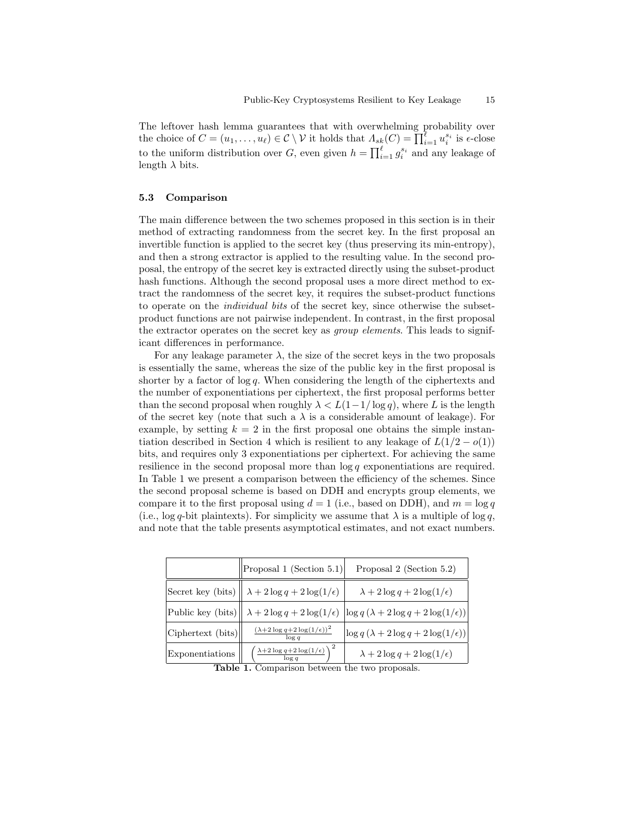The leftover hash lemma guarantees that with overwhelming probability over The leftover hash felling guarantees that with overwhelming probability over<br>the choice of  $C = (u_1, \ldots, u_\ell) \in \mathcal{C} \setminus \mathcal{V}$  it holds that  $\Lambda_{sk}(C) = \prod_{i=1}^{\ell} u_i^{s_i}$  is  $\epsilon$ -close to the uniform distribution over G, even given  $h = \prod_{i=1}^{\ell} g_i^{s_i}$  and any leakage of length  $\lambda$  bits.

## 5.3 Comparison

The main difference between the two schemes proposed in this section is in their method of extracting randomness from the secret key. In the first proposal an invertible function is applied to the secret key (thus preserving its min-entropy), and then a strong extractor is applied to the resulting value. In the second proposal, the entropy of the secret key is extracted directly using the subset-product hash functions. Although the second proposal uses a more direct method to extract the randomness of the secret key, it requires the subset-product functions to operate on the individual bits of the secret key, since otherwise the subsetproduct functions are not pairwise independent. In contrast, in the first proposal the extractor operates on the secret key as group elements. This leads to significant differences in performance.

For any leakage parameter  $\lambda$ , the size of the secret keys in the two proposals is essentially the same, whereas the size of the public key in the first proposal is shorter by a factor of  $\log q$ . When considering the length of the ciphertexts and the number of exponentiations per ciphertext, the first proposal performs better than the second proposal when roughly  $\lambda < L(1-1/\log q)$ , where L is the length of the secret key (note that such a  $\lambda$  is a considerable amount of leakage). For example, by setting  $k = 2$  in the first proposal one obtains the simple instantiation described in Section 4 which is resilient to any leakage of  $L(1/2 - o(1))$ bits, and requires only 3 exponentiations per ciphertext. For achieving the same resilience in the second proposal more than  $\log q$  exponentiations are required. In Table 1 we present a comparison between the efficiency of the schemes. Since the second proposal scheme is based on DDH and encrypts group elements, we compare it to the first proposal using  $d = 1$  (i.e., based on DDH), and  $m = \log q$ (i.e.,  $\log q$ -bit plaintexts). For simplicity we assume that  $\lambda$  is a multiple of  $\log q$ , and note that the table presents asymptotical estimates, and not exact numbers.

|                   | Proposal 1 (Section 5.1)                         | Proposal 2 (Section 5.2)                                            |
|-------------------|--------------------------------------------------|---------------------------------------------------------------------|
| Secret key (bits) | $\lambda + 2 \log q + 2 \log(1/\epsilon)$        | $\lambda + 2\log q + 2\log(1/\epsilon)$                             |
| Public key (bits) | $\lambda + 2 \log q + 2 \log(1/\epsilon)$        | $\left \log q\left(\lambda+2\log q+2\log(1/\epsilon)\right)\right $ |
| Ciphertext (bits) | $(\lambda+2\log q+2\log(1/\epsilon))^2$<br>log q | $\left \log q\left(\lambda+2\log q+2\log(1/\epsilon)\right)\right $ |
| Exponentiations   | $\lambda+2\log q+2\log(1/\epsilon)$<br>$\log q$  | $\lambda + 2\log q + 2\log(1/\epsilon)$                             |

Table 1. Comparison between the two proposals.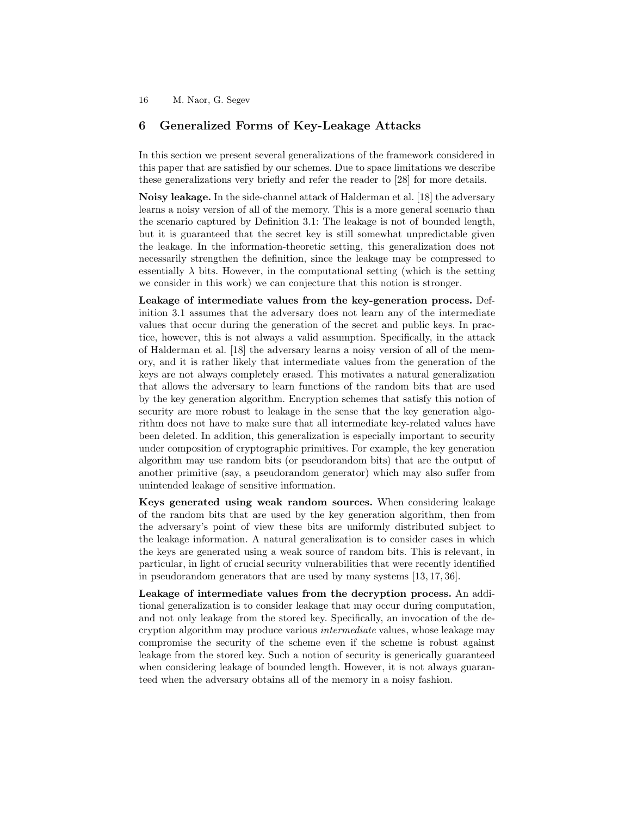# 6 Generalized Forms of Key-Leakage Attacks

In this section we present several generalizations of the framework considered in this paper that are satisfied by our schemes. Due to space limitations we describe these generalizations very briefly and refer the reader to [28] for more details.

Noisy leakage. In the side-channel attack of Halderman et al. [18] the adversary learns a noisy version of all of the memory. This is a more general scenario than the scenario captured by Definition 3.1: The leakage is not of bounded length, but it is guaranteed that the secret key is still somewhat unpredictable given the leakage. In the information-theoretic setting, this generalization does not necessarily strengthen the definition, since the leakage may be compressed to essentially  $\lambda$  bits. However, in the computational setting (which is the setting we consider in this work) we can conjecture that this notion is stronger.

Leakage of intermediate values from the key-generation process. Definition 3.1 assumes that the adversary does not learn any of the intermediate values that occur during the generation of the secret and public keys. In practice, however, this is not always a valid assumption. Specifically, in the attack of Halderman et al. [18] the adversary learns a noisy version of all of the memory, and it is rather likely that intermediate values from the generation of the keys are not always completely erased. This motivates a natural generalization that allows the adversary to learn functions of the random bits that are used by the key generation algorithm. Encryption schemes that satisfy this notion of security are more robust to leakage in the sense that the key generation algorithm does not have to make sure that all intermediate key-related values have been deleted. In addition, this generalization is especially important to security under composition of cryptographic primitives. For example, the key generation algorithm may use random bits (or pseudorandom bits) that are the output of another primitive (say, a pseudorandom generator) which may also suffer from unintended leakage of sensitive information.

Keys generated using weak random sources. When considering leakage of the random bits that are used by the key generation algorithm, then from the adversary's point of view these bits are uniformly distributed subject to the leakage information. A natural generalization is to consider cases in which the keys are generated using a weak source of random bits. This is relevant, in particular, in light of crucial security vulnerabilities that were recently identified in pseudorandom generators that are used by many systems [13, 17, 36].

Leakage of intermediate values from the decryption process. An additional generalization is to consider leakage that may occur during computation, and not only leakage from the stored key. Specifically, an invocation of the decryption algorithm may produce various intermediate values, whose leakage may compromise the security of the scheme even if the scheme is robust against leakage from the stored key. Such a notion of security is generically guaranteed when considering leakage of bounded length. However, it is not always guaranteed when the adversary obtains all of the memory in a noisy fashion.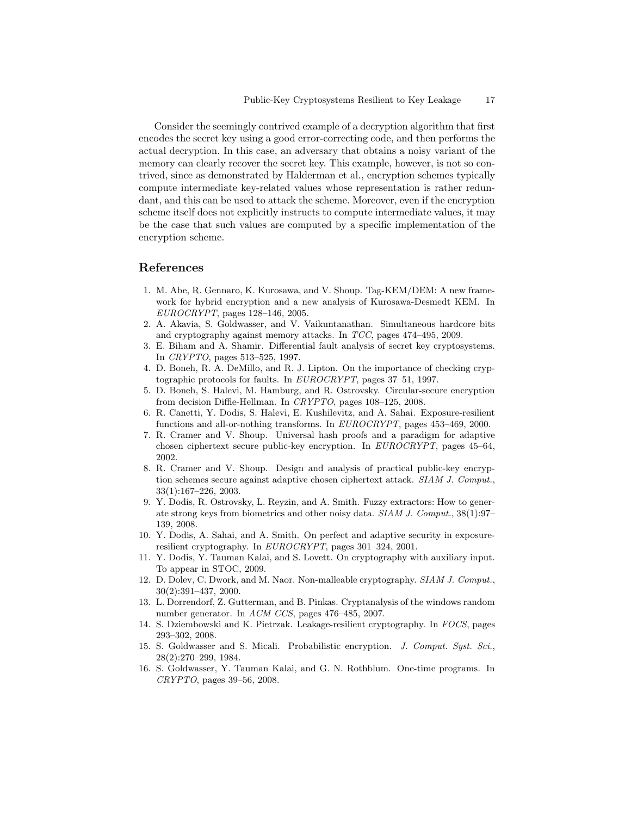Consider the seemingly contrived example of a decryption algorithm that first encodes the secret key using a good error-correcting code, and then performs the actual decryption. In this case, an adversary that obtains a noisy variant of the memory can clearly recover the secret key. This example, however, is not so contrived, since as demonstrated by Halderman et al., encryption schemes typically compute intermediate key-related values whose representation is rather redundant, and this can be used to attack the scheme. Moreover, even if the encryption scheme itself does not explicitly instructs to compute intermediate values, it may be the case that such values are computed by a specific implementation of the encryption scheme.

## References

- 1. M. Abe, R. Gennaro, K. Kurosawa, and V. Shoup. Tag-KEM/DEM: A new framework for hybrid encryption and a new analysis of Kurosawa-Desmedt KEM. In EUROCRYPT, pages 128–146, 2005.
- 2. A. Akavia, S. Goldwasser, and V. Vaikuntanathan. Simultaneous hardcore bits and cryptography against memory attacks. In TCC, pages 474–495, 2009.
- 3. E. Biham and A. Shamir. Differential fault analysis of secret key cryptosystems. In CRYPTO, pages 513–525, 1997.
- 4. D. Boneh, R. A. DeMillo, and R. J. Lipton. On the importance of checking cryptographic protocols for faults. In EUROCRYPT, pages 37–51, 1997.
- 5. D. Boneh, S. Halevi, M. Hamburg, and R. Ostrovsky. Circular-secure encryption from decision Diffie-Hellman. In CRYPTO, pages 108–125, 2008.
- 6. R. Canetti, Y. Dodis, S. Halevi, E. Kushilevitz, and A. Sahai. Exposure-resilient functions and all-or-nothing transforms. In EUROCRYPT, pages 453–469, 2000.
- 7. R. Cramer and V. Shoup. Universal hash proofs and a paradigm for adaptive chosen ciphertext secure public-key encryption. In EUROCRYPT, pages 45–64, 2002.
- 8. R. Cramer and V. Shoup. Design and analysis of practical public-key encryption schemes secure against adaptive chosen ciphertext attack. SIAM J. Comput., 33(1):167–226, 2003.
- 9. Y. Dodis, R. Ostrovsky, L. Reyzin, and A. Smith. Fuzzy extractors: How to generate strong keys from biometrics and other noisy data. SIAM J. Comput., 38(1):97– 139, 2008.
- 10. Y. Dodis, A. Sahai, and A. Smith. On perfect and adaptive security in exposureresilient cryptography. In EUROCRYPT, pages 301–324, 2001.
- 11. Y. Dodis, Y. Tauman Kalai, and S. Lovett. On cryptography with auxiliary input. To appear in STOC, 2009.
- 12. D. Dolev, C. Dwork, and M. Naor. Non-malleable cryptography. SIAM J. Comput., 30(2):391–437, 2000.
- 13. L. Dorrendorf, Z. Gutterman, and B. Pinkas. Cryptanalysis of the windows random number generator. In ACM CCS, pages 476–485, 2007.
- 14. S. Dziembowski and K. Pietrzak. Leakage-resilient cryptography. In FOCS, pages 293–302, 2008.
- 15. S. Goldwasser and S. Micali. Probabilistic encryption. J. Comput. Syst. Sci., 28(2):270–299, 1984.
- 16. S. Goldwasser, Y. Tauman Kalai, and G. N. Rothblum. One-time programs. In CRYPTO, pages 39–56, 2008.